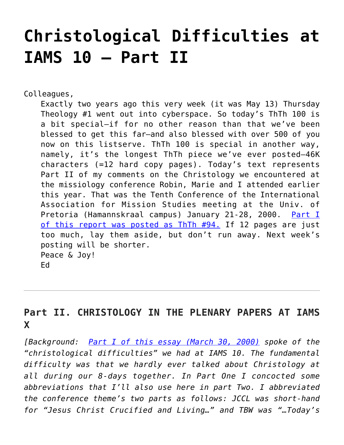# **[Christological Difficulties at](https://crossings.org/christological-difficulties-at-iams-10-part-ii/) [IAMS 10 – Part II](https://crossings.org/christological-difficulties-at-iams-10-part-ii/)**

Colleagues,

Exactly two years ago this very week (it was May 13) Thursday Theology #1 went out into cyberspace. So today's ThTh 100 is a bit special–if for no other reason than that we've been blessed to get this far–and also blessed with over 500 of you now on this listserve. ThTh 100 is special in another way, namely, it's the longest ThTh piece we've ever posted–46K characters (=12 hard copy pages). Today's text represents Part II of my comments on the Christology we encountered at the missiology conference Robin, Marie and I attended earlier this year. That was the Tenth Conference of the International Association for Mission Studies meeting at the Univ. of Pretoria (Hamannskraal campus) January 21-28, 2000. [Part I](https://crossings.org/thursday/2000/thur0330.shtml) [of this report was posted as ThTh #94.](https://crossings.org/thursday/2000/thur0330.shtml) If 12 pages are just too much, lay them aside, but don't run away. Next week's posting will be shorter. Peace & Joy! Ed

# **Part II. CHRISTOLOGY IN THE PLENARY PAPERS AT IAMS X**

*[Background: [Part I of this essay \(March 30, 2000\)](https://crossings.org/thursday/2000/thur0330.shtml) spoke of the "christological difficulties" we had at IAMS 10. The fundamental difficulty was that we hardly ever talked about Christology at all during our 8-days together. In Part One I concocted some abbreviations that I'll also use here in part Two. I abbreviated the conference theme's two parts as follows: JCCL was short-hand for "Jesus Christ Crucified and Living…" and TBW was "…Today's*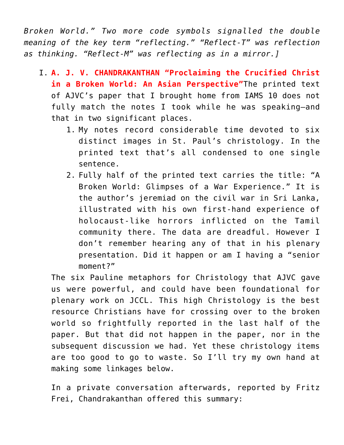*Broken World." Two more code symbols signalled the double meaning of the key term "reflecting." "Reflect-T" was reflection as thinking. "Reflect-M" was reflecting as in a mirror.]*

- I. **A. J. V. CHANDRAKANTHAN "Proclaiming the Crucified Christ in a Broken World: An Asian Perspective"**The printed text of AJVC's paper that I brought home from IAMS 10 does not fully match the notes I took while he was speaking–and that in two significant places.
	- 1. My notes record considerable time devoted to six distinct images in St. Paul's christology. In the printed text that's all condensed to one single sentence.
	- 2. Fully half of the printed text carries the title: "A Broken World: Glimpses of a War Experience." It is the author's jeremiad on the civil war in Sri Lanka, illustrated with his own first-hand experience of holocaust-like horrors inflicted on the Tamil community there. The data are dreadful. However I don't remember hearing any of that in his plenary presentation. Did it happen or am I having a "senior moment?"

The six Pauline metaphors for Christology that AJVC gave us were powerful, and could have been foundational for plenary work on JCCL. This high Christology is the best resource Christians have for crossing over to the broken world so frightfully reported in the last half of the paper. But that did not happen in the paper, nor in the subsequent discussion we had. Yet these christology items are too good to go to waste. So I'll try my own hand at making some linkages below.

In a private conversation afterwards, reported by Fritz Frei, Chandrakanthan offered this summary: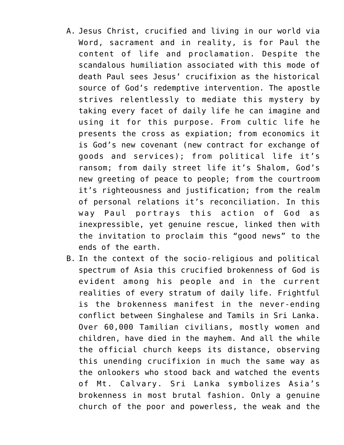- A. Jesus Christ, crucified and living in our world via Word, sacrament and in reality, is for Paul the content of life and proclamation. Despite the scandalous humiliation associated with this mode of death Paul sees Jesus' crucifixion as the historical source of God's redemptive intervention. The apostle strives relentlessly to mediate this mystery by taking every facet of daily life he can imagine and using it for this purpose. From cultic life he presents the cross as expiation; from economics it is God's new covenant (new contract for exchange of goods and services); from political life it's ransom; from daily street life it's Shalom, God's new greeting of peace to people; from the courtroom it's righteousness and justification; from the realm of personal relations it's reconciliation. In this way Paul portrays this action of God as inexpressible, yet genuine rescue, linked then with the invitation to proclaim this "good news" to the ends of the earth.
- B. In the context of the socio-religious and political spectrum of Asia this crucified brokenness of God is evident among his people and in the current realities of every stratum of daily life. Frightful is the brokenness manifest in the never-ending conflict between Singhalese and Tamils in Sri Lanka. Over 60,000 Tamilian civilians, mostly women and children, have died in the mayhem. And all the while the official church keeps its distance, observing this unending crucifixion in much the same way as the onlookers who stood back and watched the events of Mt. Calvary. Sri Lanka symbolizes Asia's brokenness in most brutal fashion. Only a genuine church of the poor and powerless, the weak and the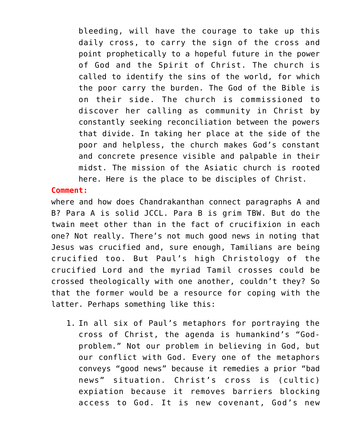bleeding, will have the courage to take up this daily cross, to carry the sign of the cross and point prophetically to a hopeful future in the power of God and the Spirit of Christ. The church is called to identify the sins of the world, for which the poor carry the burden. The God of the Bible is on their side. The church is commissioned to discover her calling as community in Christ by constantly seeking reconciliation between the powers that divide. In taking her place at the side of the poor and helpless, the church makes God's constant and concrete presence visible and palpable in their midst. The mission of the Asiatic church is rooted here. Here is the place to be disciples of Christ.

# **Comment:**

where and how does Chandrakanthan connect paragraphs A and B? Para A is solid JCCL. Para B is grim TBW. But do the twain meet other than in the fact of crucifixion in each one? Not really. There's not much good news in noting that Jesus was crucified and, sure enough, Tamilians are being crucified too. But Paul's high Christology of the crucified Lord and the myriad Tamil crosses could be crossed theologically with one another, couldn't they? So that the former would be a resource for coping with the latter. Perhaps something like this:

1. In all six of Paul's metaphors for portraying the cross of Christ, the agenda is humankind's "Godproblem." Not our problem in believing in God, but our conflict with God. Every one of the metaphors conveys "good news" because it remedies a prior "bad news" situation. Christ's cross is (cultic) expiation because it removes barriers blocking access to God. It is new covenant, God's new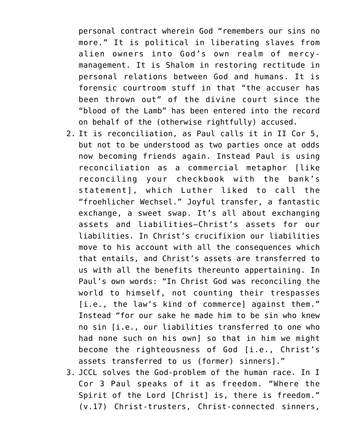personal contract wherein God "remembers our sins no more." It is political in liberating slaves from alien owners into God's own realm of mercymanagement. It is Shalom in restoring rectitude in personal relations between God and humans. It is forensic courtroom stuff in that "the accuser has been thrown out" of the divine court since the "blood of the Lamb" has been entered into the record on behalf of the (otherwise rightfully) accused.

- 2. It is reconciliation, as Paul calls it in II Cor 5, but not to be understood as two parties once at odds now becoming friends again. Instead Paul is using reconciliation as a commercial metaphor [like reconciling your checkbook with the bank's statement], which Luther liked to call the "froehlicher Wechsel." Joyful transfer, a fantastic exchange, a sweet swap. It's all about exchanging assets and liabilities–Christ's assets for our liabilities. In Christ's crucifixion our liabilities move to his account with all the consequences which that entails, and Christ's assets are transferred to us with all the benefits thereunto appertaining. In Paul's own words: "In Christ God was reconciling the world to himself, not counting their trespasses [i.e., the law's kind of commerce] against them." Instead "for our sake he made him to be sin who knew no sin [i.e., our liabilities transferred to one who had none such on his own] so that in him we might become the righteousness of God [i.e., Christ's assets transferred to us (former) sinners]."
- 3. JCCL solves the God-problem of the human race. In I Cor 3 Paul speaks of it as freedom. "Where the Spirit of the Lord [Christ] is, there is freedom." (v.17) Christ-trusters, Christ-connected sinners,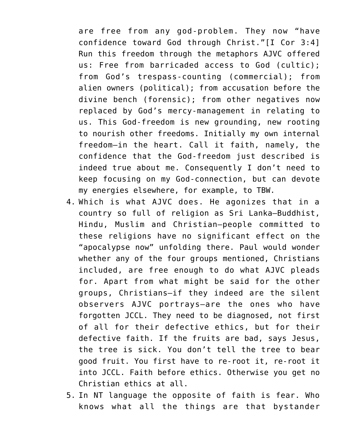are free from any god-problem. They now "have confidence toward God through Christ."[I Cor 3:4] Run this freedom through the metaphors AJVC offered us: Free from barricaded access to God (cultic); from God's trespass-counting (commercial); from alien owners (political); from accusation before the divine bench (forensic); from other negatives now replaced by God's mercy-management in relating to us. This God-freedom is new grounding, new rooting to nourish other freedoms. Initially my own internal freedom–in the heart. Call it faith, namely, the confidence that the God-freedom just described is indeed true about me. Consequently I don't need to keep focusing on my God-connection, but can devote my energies elsewhere, for example, to TBW.

- 4. Which is what AJVC does. He agonizes that in a country so full of religion as Sri Lanka–Buddhist, Hindu, Muslim and Christian–people committed to these religions have no significant effect on the "apocalypse now" unfolding there. Paul would wonder whether any of the four groups mentioned, Christians included, are free enough to do what AJVC pleads for. Apart from what might be said for the other groups, Christians–if they indeed are the silent observers AJVC portrays–are the ones who have forgotten JCCL. They need to be diagnosed, not first of all for their defective ethics, but for their defective faith. If the fruits are bad, says Jesus, the tree is sick. You don't tell the tree to bear good fruit. You first have to re-root it, re-root it into JCCL. Faith before ethics. Otherwise you get no Christian ethics at all.
- 5. In NT language the opposite of faith is fear. Who knows what all the things are that bystander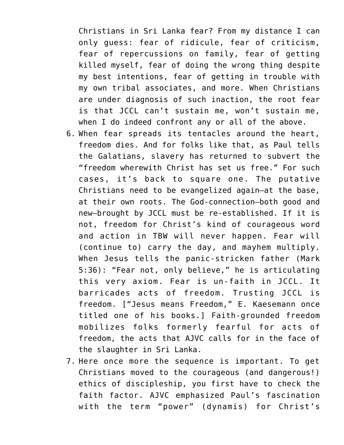Christians in Sri Lanka fear? From my distance I can only guess: fear of ridicule, fear of criticism, fear of repercussions on family, fear of getting killed myself, fear of doing the wrong thing despite my best intentions, fear of getting in trouble with my own tribal associates, and more. When Christians are under diagnosis of such inaction, the root fear is that JCCL can't sustain me, won't sustain me, when I do indeed confront any or all of the above.

- 6. When fear spreads its tentacles around the heart, freedom dies. And for folks like that, as Paul tells the Galatians, slavery has returned to subvert the "freedom wherewith Christ has set us free." For such cases, it's back to square one. The putative Christians need to be evangelized again–at the base, at their own roots. The God-connection–both good and new–brought by JCCL must be re-established. If it is not, freedom for Christ's kind of courageous word and action in TBW will never happen. Fear will (continue to) carry the day, and mayhem multiply. When Jesus tells the panic-stricken father (Mark 5:36): "Fear not, only believe," he is articulating this very axiom. Fear is un-faith in JCCL. It barricades acts of freedom. Trusting JCCL is freedom. ["Jesus means Freedom," E. Kaesemann once titled one of his books.] Faith-grounded freedom mobilizes folks formerly fearful for acts of freedom, the acts that AJVC calls for in the face of the slaughter in Sri Lanka.
- 7. Here once more the sequence is important. To get Christians moved to the courageous (and dangerous!) ethics of discipleship, you first have to check the faith factor. AJVC emphasized Paul's fascination with the term "power" (dynamis) for Christ's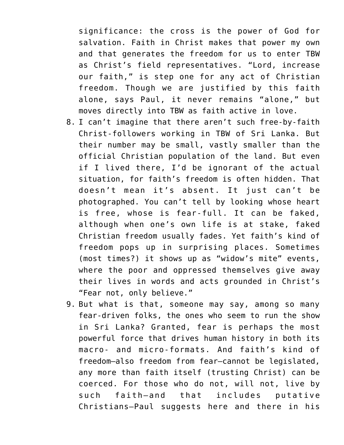significance: the cross is the power of God for salvation. Faith in Christ makes that power my own and that generates the freedom for us to enter TBW as Christ's field representatives. "Lord, increase our faith," is step one for any act of Christian freedom. Though we are justified by this faith alone, says Paul, it never remains "alone," but moves directly into TBW as faith active in love.

- 8. I can't imagine that there aren't such free-by-faith Christ-followers working in TBW of Sri Lanka. But their number may be small, vastly smaller than the official Christian population of the land. But even if I lived there, I'd be ignorant of the actual situation, for faith's freedom is often hidden. That doesn't mean it's absent. It just can't be photographed. You can't tell by looking whose heart is free, whose is fear-full. It can be faked, although when one's own life is at stake, faked Christian freedom usually fades. Yet faith's kind of freedom pops up in surprising places. Sometimes (most times?) it shows up as "widow's mite" events, where the poor and oppressed themselves give away their lives in words and acts grounded in Christ's "Fear not, only believe."
- 9. But what is that, someone may say, among so many fear-driven folks, the ones who seem to run the show in Sri Lanka? Granted, fear is perhaps the most powerful force that drives human history in both its macro- and micro-formats. And faith's kind of freedom–also freedom from fear–cannot be legislated, any more than faith itself (trusting Christ) can be coerced. For those who do not, will not, live by such faith–and that includes putative Christians–Paul suggests here and there in his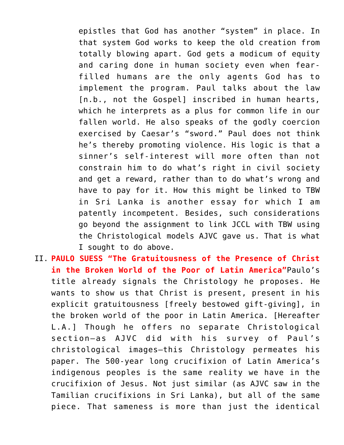epistles that God has another "system" in place. In that system God works to keep the old creation from totally blowing apart. God gets a modicum of equity and caring done in human society even when fearfilled humans are the only agents God has to implement the program. Paul talks about the law [n.b., not the Gospel] inscribed in human hearts, which he interprets as a plus for common life in our fallen world. He also speaks of the godly coercion exercised by Caesar's "sword." Paul does not think he's thereby promoting violence. His logic is that a sinner's self-interest will more often than not constrain him to do what's right in civil society and get a reward, rather than to do what's wrong and have to pay for it. How this might be linked to TBW in Sri Lanka is another essay for which I am patently incompetent. Besides, such considerations go beyond the assignment to link JCCL with TBW using the Christological models AJVC gave us. That is what I sought to do above.

II. **PAULO SUESS "The Gratuitousness of the Presence of Christ in the Broken World of the Poor of Latin America"**Paulo's title already signals the Christology he proposes. He wants to show us that Christ is present, present in his explicit gratuitousness [freely bestowed gift-giving], in the broken world of the poor in Latin America. [Hereafter L.A.] Though he offers no separate Christological section–as AJVC did with his survey of Paul's christological images–this Christology permeates his paper. The 500-year long crucifixion of Latin America's indigenous peoples is the same reality we have in the crucifixion of Jesus. Not just similar (as AJVC saw in the Tamilian crucifixions in Sri Lanka), but all of the same piece. That sameness is more than just the identical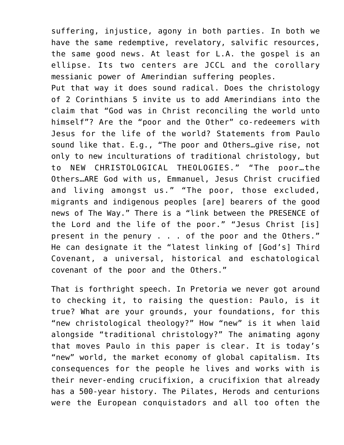suffering, injustice, agony in both parties. In both we have the same redemptive, revelatory, salvific resources, the same good news. At least for L.A. the gospel is an ellipse. Its two centers are JCCL and the corollary messianic power of Amerindian suffering peoples.

Put that way it does sound radical. Does the christology of 2 Corinthians 5 invite us to add Amerindians into the claim that "God was in Christ reconciling the world unto himself"? Are the "poor and the Other" co-redeemers with Jesus for the life of the world? Statements from Paulo sound like that. E.g., "The poor and Others…give rise, not only to new inculturations of traditional christology, but to NEW CHRISTOLOGICAL THEOLOGIES." "The poor…the Others…ARE God with us, Emmanuel, Jesus Christ crucified and living amongst us." "The poor, those excluded, migrants and indigenous peoples [are] bearers of the good news of The Way." There is a "link between the PRESENCE of the Lord and the life of the poor." "Jesus Christ [is] present in the penury . . . of the poor and the Others." He can designate it the "latest linking of [God's] Third Covenant, a universal, historical and eschatological covenant of the poor and the Others."

That is forthright speech. In Pretoria we never got around to checking it, to raising the question: Paulo, is it true? What are your grounds, your foundations, for this "new christological theology?" How "new" is it when laid alongside "traditional christology?" The animating agony that moves Paulo in this paper is clear. It is today's "new" world, the market economy of global capitalism. Its consequences for the people he lives and works with is their never-ending crucifixion, a crucifixion that already has a 500-year history. The Pilates, Herods and centurions were the European conquistadors and all too often the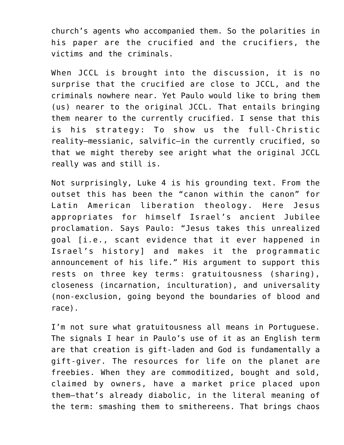church's agents who accompanied them. So the polarities in his paper are the crucified and the crucifiers, the victims and the criminals.

When JCCL is brought into the discussion, it is no surprise that the crucified are close to JCCL, and the criminals nowhere near. Yet Paulo would like to bring them (us) nearer to the original JCCL. That entails bringing them nearer to the currently crucified. I sense that this is his strategy: To show us the full-Christic reality–messianic, salvific–in the currently crucified, so that we might thereby see aright what the original JCCL really was and still is.

Not surprisingly, Luke 4 is his grounding text. From the outset this has been the "canon within the canon" for Latin American liberation theology. Here Jesus appropriates for himself Israel's ancient Jubilee proclamation. Says Paulo: "Jesus takes this unrealized goal [i.e., scant evidence that it ever happened in Israel's history] and makes it the programmatic announcement of his life." His argument to support this rests on three key terms: gratuitousness (sharing), closeness (incarnation, inculturation), and universality (non-exclusion, going beyond the boundaries of blood and race).

I'm not sure what gratuitousness all means in Portuguese. The signals I hear in Paulo's use of it as an English term are that creation is gift-laden and God is fundamentally a gift-giver. The resources for life on the planet are freebies. When they are commoditized, bought and sold, claimed by owners, have a market price placed upon them–that's already diabolic, in the literal meaning of the term: smashing them to smithereens. That brings chaos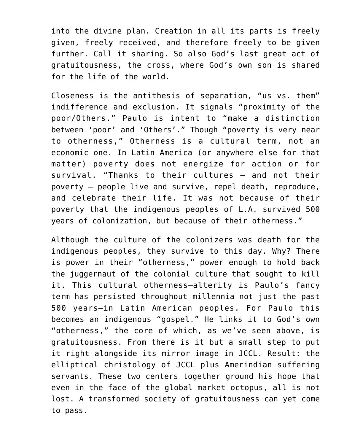into the divine plan. Creation in all its parts is freely given, freely received, and therefore freely to be given further. Call it sharing. So also God's last great act of gratuitousness, the cross, where God's own son is shared for the life of the world.

Closeness is the antithesis of separation, "us vs. them" indifference and exclusion. It signals "proximity of the poor/Others." Paulo is intent to "make a distinction between 'poor' and 'Others'." Though "poverty is very near to otherness," Otherness is a cultural term, not an economic one. In Latin America (or anywhere else for that matter) poverty does not energize for action or for survival. "Thanks to their cultures – and not their poverty – people live and survive, repel death, reproduce, and celebrate their life. It was not because of their poverty that the indigenous peoples of L.A. survived 500 years of colonization, but because of their otherness."

Although the culture of the colonizers was death for the indigenous peoples, they survive to this day. Why? There is power in their "otherness," power enough to hold back the juggernaut of the colonial culture that sought to kill it. This cultural otherness–alterity is Paulo's fancy term–has persisted throughout millennia–not just the past 500 years–in Latin American peoples. For Paulo this becomes an indigenous "gospel." He links it to God's own "otherness," the core of which, as we've seen above, is gratuitousness. From there is it but a small step to put it right alongside its mirror image in JCCL. Result: the elliptical christology of JCCL plus Amerindian suffering servants. These two centers together ground his hope that even in the face of the global market octopus, all is not lost. A transformed society of gratuitousness can yet come to pass.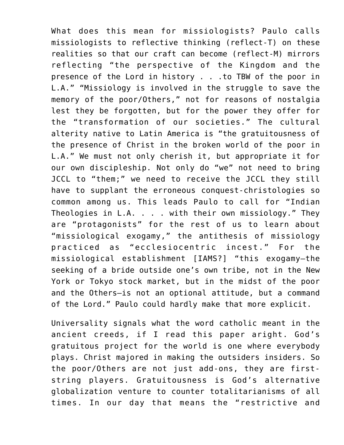What does this mean for missiologists? Paulo calls missiologists to reflective thinking (reflect-T) on these realities so that our craft can become (reflect-M) mirrors reflecting "the perspective of the Kingdom and the presence of the Lord in history . . .to TBW of the poor in L.A." "Missiology is involved in the struggle to save the memory of the poor/Others," not for reasons of nostalgia lest they be forgotten, but for the power they offer for the "transformation of our societies." The cultural alterity native to Latin America is "the gratuitousness of the presence of Christ in the broken world of the poor in L.A." We must not only cherish it, but appropriate it for our own discipleship. Not only do "we" not need to bring JCCL to "them;" we need to receive the JCCL they still have to supplant the erroneous conquest-christologies so common among us. This leads Paulo to call for "Indian Theologies in L.A. . . . with their own missiology." They are "protagonists" for the rest of us to learn about "missiological exogamy," the antithesis of missiology practiced as "ecclesiocentric incest." For the missiological establishment [IAMS?] "this exogamy–the seeking of a bride outside one's own tribe, not in the New York or Tokyo stock market, but in the midst of the poor and the Others–is not an optional attitude, but a command of the Lord." Paulo could hardly make that more explicit.

Universality signals what the word catholic meant in the ancient creeds, if I read this paper aright. God's gratuitous project for the world is one where everybody plays. Christ majored in making the outsiders insiders. So the poor/Others are not just add-ons, they are firststring players. Gratuitousness is God's alternative globalization venture to counter totalitarianisms of all times. In our day that means the "restrictive and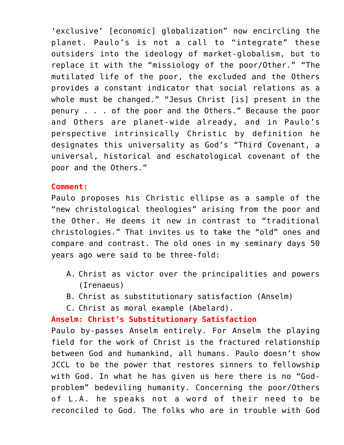'exclusive' [economic] globalization" now encircling the planet. Paulo's is not a call to "integrate" these outsiders into the ideology of market-globalism, but to replace it with the "missiology of the poor/Other." "The mutilated life of the poor, the excluded and the Others provides a constant indicator that social relations as a whole must be changed." "Jesus Christ [is] present in the penury . . . of the poor and the Others." Because the poor and Others are planet-wide already, and in Paulo's perspective intrinsically Christic by definition he designates this universality as God's "Third Covenant, a universal, historical and eschatological covenant of the poor and the Others."

# **Comment:**

Paulo proposes his Christic ellipse as a sample of the "new christological theologies" arising from the poor and the Other. He deems it new in contrast to "traditional christologies." That invites us to take the "old" ones and compare and contrast. The old ones in my seminary days 50 years ago were said to be three-fold:

- A. Christ as victor over the principalities and powers (Irenaeus)
- B. Christ as substitutionary satisfaction (Anselm)
- C. Christ as moral example (Abelard).

**Anselm: Christ's Substitutionary Satisfaction**

Paulo by-passes Anselm entirely. For Anselm the playing field for the work of Christ is the fractured relationship between God and humankind, all humans. Paulo doesn't show JCCL to be the power that restores sinners to fellowship with God. In what he has given us here there is no "Godproblem" bedeviling humanity. Concerning the poor/Others of L.A. he speaks not a word of their need to be reconciled to God. The folks who are in trouble with God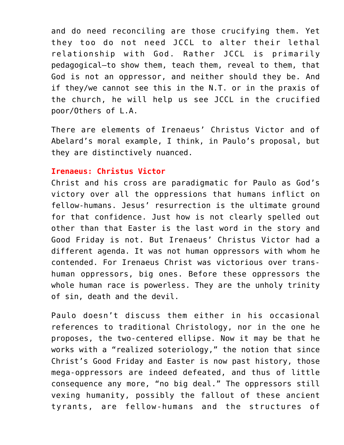and do need reconciling are those crucifying them. Yet they too do not need JCCL to alter their lethal relationship with God. Rather JCCL is primarily pedagogical–to show them, teach them, reveal to them, that God is not an oppressor, and neither should they be. And if they/we cannot see this in the N.T. or in the praxis of the church, he will help us see JCCL in the crucified poor/Others of L.A.

There are elements of Irenaeus' Christus Victor and of Abelard's moral example, I think, in Paulo's proposal, but they are distinctively nuanced.

# **Irenaeus: Christus Victor**

Christ and his cross are paradigmatic for Paulo as God's victory over all the oppressions that humans inflict on fellow-humans. Jesus' resurrection is the ultimate ground for that confidence. Just how is not clearly spelled out other than that Easter is the last word in the story and Good Friday is not. But Irenaeus' Christus Victor had a different agenda. It was not human oppressors with whom he contended. For Irenaeus Christ was victorious over transhuman oppressors, big ones. Before these oppressors the whole human race is powerless. They are the unholy trinity of sin, death and the devil.

Paulo doesn't discuss them either in his occasional references to traditional Christology, nor in the one he proposes, the two-centered ellipse. Now it may be that he works with a "realized soteriology," the notion that since Christ's Good Friday and Easter is now past history, those mega-oppressors are indeed defeated, and thus of little consequence any more, "no big deal." The oppressors still vexing humanity, possibly the fallout of these ancient tyrants, are fellow-humans and the structures of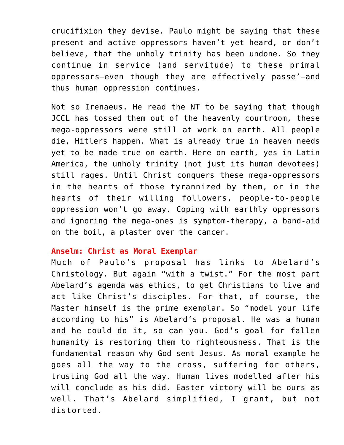crucifixion they devise. Paulo might be saying that these present and active oppressors haven't yet heard, or don't believe, that the unholy trinity has been undone. So they continue in service (and servitude) to these primal oppressors–even though they are effectively passe'–and thus human oppression continues.

Not so Irenaeus. He read the NT to be saying that though JCCL has tossed them out of the heavenly courtroom, these mega-oppressors were still at work on earth. All people die, Hitlers happen. What is already true in heaven needs yet to be made true on earth. Here on earth, yes in Latin America, the unholy trinity (not just its human devotees) still rages. Until Christ conquers these mega-oppressors in the hearts of those tyrannized by them, or in the hearts of their willing followers, people-to-people oppression won't go away. Coping with earthly oppressors and ignoring the mega-ones is symptom-therapy, a band-aid on the boil, a plaster over the cancer.

#### **Anselm: Christ as Moral Exemplar**

Much of Paulo's proposal has links to Abelard's Christology. But again "with a twist." For the most part Abelard's agenda was ethics, to get Christians to live and act like Christ's disciples. For that, of course, the Master himself is the prime exemplar. So "model your life according to his" is Abelard's proposal. He was a human and he could do it, so can you. God's goal for fallen humanity is restoring them to righteousness. That is the fundamental reason why God sent Jesus. As moral example he goes all the way to the cross, suffering for others, trusting God all the way. Human lives modelled after his will conclude as his did. Easter victory will be ours as well. That's Abelard simplified, I grant, but not distorted.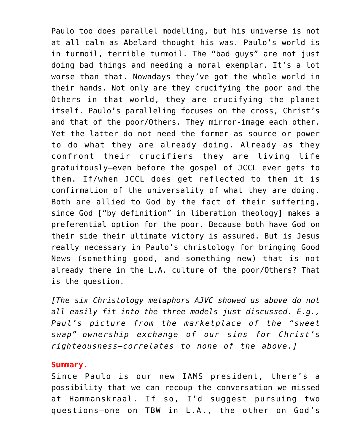Paulo too does parallel modelling, but his universe is not at all calm as Abelard thought his was. Paulo's world is in turmoil, terrible turmoil. The "bad guys" are not just doing bad things and needing a moral exemplar. It's a lot worse than that. Nowadays they've got the whole world in their hands. Not only are they crucifying the poor and the Others in that world, they are crucifying the planet itself. Paulo's paralleling focuses on the cross, Christ's and that of the poor/Others. They mirror-image each other. Yet the latter do not need the former as source or power to do what they are already doing. Already as they confront their crucifiers they are living life gratuitously–even before the gospel of JCCL ever gets to them. If/when JCCL does get reflected to them it is confirmation of the universality of what they are doing. Both are allied to God by the fact of their suffering, since God ["by definition" in liberation theology] makes a preferential option for the poor. Because both have God on their side their ultimate victory is assured. But is Jesus really necessary in Paulo's christology for bringing Good News (something good, and something new) that is not already there in the L.A. culture of the poor/Others? That is the question.

*[The six Christology metaphors AJVC showed us above do not all easily fit into the three models just discussed. E.g., Paul's picture from the marketplace of the "sweet swap"–ownership exchange of our sins for Christ's righteousness–correlates to none of the above.]*

#### **Summary.**

Since Paulo is our new IAMS president, there's a possibility that we can recoup the conversation we missed at Hammanskraal. If so, I'd suggest pursuing two questions–one on TBW in L.A., the other on God's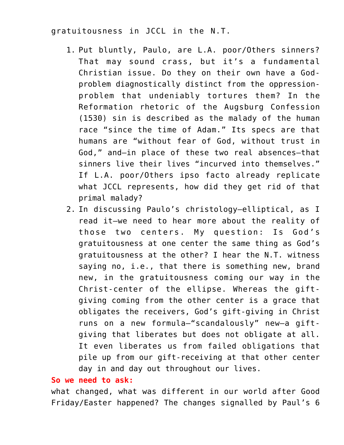# gratuitousness in JCCL in the N.T.

- 1. Put bluntly, Paulo, are L.A. poor/Others sinners? That may sound crass, but it's a fundamental Christian issue. Do they on their own have a Godproblem diagnostically distinct from the oppressionproblem that undeniably tortures them? In the Reformation rhetoric of the Augsburg Confession (1530) sin is described as the malady of the human race "since the time of Adam." Its specs are that humans are "without fear of God, without trust in God," and–in place of these two real absences–that sinners live their lives "incurved into themselves." If L.A. poor/Others ipso facto already replicate what JCCL represents, how did they get rid of that primal malady?
- 2. In discussing Paulo's christology–elliptical, as I read it–we need to hear more about the reality of those two centers. My question: Is God's gratuitousness at one center the same thing as God's gratuitousness at the other? I hear the N.T. witness saying no, i.e., that there is something new, brand new, in the gratuitousness coming our way in the Christ-center of the ellipse. Whereas the giftgiving coming from the other center is a grace that obligates the receivers, God's gift-giving in Christ runs on a new formula–"scandalously" new–a giftgiving that liberates but does not obligate at all. It even liberates us from failed obligations that pile up from our gift-receiving at that other center day in and day out throughout our lives.

# **So we need to ask:**

what changed, what was different in our world after Good Friday/Easter happened? The changes signalled by Paul's 6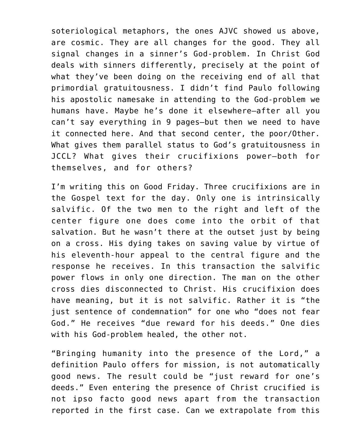soteriological metaphors, the ones AJVC showed us above, are cosmic. They are all changes for the good. They all signal changes in a sinner's God-problem. In Christ God deals with sinners differently, precisely at the point of what they've been doing on the receiving end of all that primordial gratuitousness. I didn't find Paulo following his apostolic namesake in attending to the God-problem we humans have. Maybe he's done it elsewhere–after all you can't say everything in 9 pages–but then we need to have it connected here. And that second center, the poor/Other. What gives them parallel status to God's gratuitousness in JCCL? What gives their crucifixions power–both for themselves, and for others?

I'm writing this on Good Friday. Three crucifixions are in the Gospel text for the day. Only one is intrinsically salvific. Of the two men to the right and left of the center figure one does come into the orbit of that salvation. But he wasn't there at the outset just by being on a cross. His dying takes on saving value by virtue of his eleventh-hour appeal to the central figure and the response he receives. In this transaction the salvific power flows in only one direction. The man on the other cross dies disconnected to Christ. His crucifixion does have meaning, but it is not salvific. Rather it is "the just sentence of condemnation" for one who "does not fear God." He receives "due reward for his deeds." One dies with his God-problem healed, the other not.

"Bringing humanity into the presence of the Lord," a definition Paulo offers for mission, is not automatically good news. The result could be "just reward for one's deeds." Even entering the presence of Christ crucified is not ipso facto good news apart from the transaction reported in the first case. Can we extrapolate from this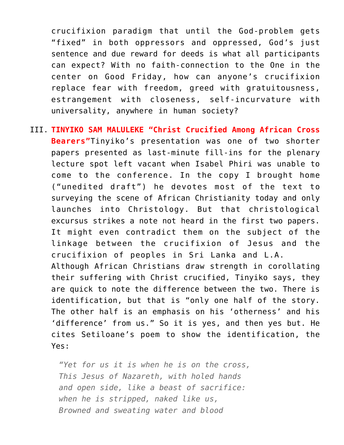crucifixion paradigm that until the God-problem gets "fixed" in both oppressors and oppressed, God's just sentence and due reward for deeds is what all participants can expect? With no faith-connection to the One in the center on Good Friday, how can anyone's crucifixion replace fear with freedom, greed with gratuitousness, estrangement with closeness, self-incurvature with universality, anywhere in human society?

III. **TINYIKO SAM MALULEKE "Christ Crucified Among African Cross Bearers"**Tinyiko's presentation was one of two shorter papers presented as last-minute fill-ins for the plenary lecture spot left vacant when Isabel Phiri was unable to come to the conference. In the copy I brought home ("unedited draft") he devotes most of the text to surveying the scene of African Christianity today and only launches into Christology. But that christological excursus strikes a note not heard in the first two papers. It might even contradict them on the subject of the linkage between the crucifixion of Jesus and the crucifixion of peoples in Sri Lanka and L.A. Although African Christians draw strength in corollating their suffering with Christ crucified, Tinyiko says, they are quick to note the difference between the two. There is identification, but that is "only one half of the story. The other half is an emphasis on his 'otherness' and his 'difference' from us." So it is yes, and then yes but. He cites Setiloane's poem to show the identification, the Yes:

*"Yet for us it is when he is on the cross, This Jesus of Nazareth, with holed hands and open side, like a beast of sacrifice: when he is stripped, naked like us, Browned and sweating water and blood*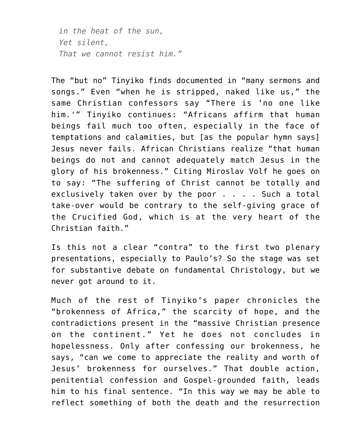*in the heat of the sun, Yet silent, That we cannot resist him."*

The "but no" Tinyiko finds documented in "many sermons and songs." Even "when he is stripped, naked like us," the same Christian confessors say "There is 'no one like him.'" Tinyiko continues: "Africans affirm that human beings fail much too often, especially in the face of temptations and calamities, but [as the popular hymn says] Jesus never fails. African Christians realize "that human beings do not and cannot adequately match Jesus in the glory of his brokenness." Citing Miroslav Volf he goes on to say: "The suffering of Christ cannot be totally and exclusively taken over by the poor . . . . Such a total take-over would be contrary to the self-giving grace of the Crucified God, which is at the very heart of the Christian faith."

Is this not a clear "contra" to the first two plenary presentations, especially to Paulo's? So the stage was set for substantive debate on fundamental Christology, but we never got around to it.

Much of the rest of Tinyiko's paper chronicles the "brokenness of Africa," the scarcity of hope, and the contradictions present in the "massive Christian presence on the continent." Yet he does not concludes in hopelessness. Only after confessing our brokenness, he says, "can we come to appreciate the reality and worth of Jesus' brokenness for ourselves." That double action, penitential confession and Gospel-grounded faith, leads him to his final sentence. "In this way we may be able to reflect something of both the death and the resurrection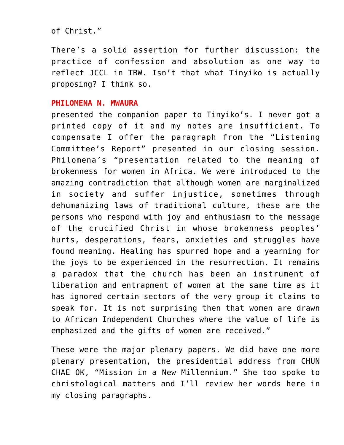of Christ."

There's a solid assertion for further discussion: the practice of confession and absolution as one way to reflect JCCL in TBW. Isn't that what Tinyiko is actually proposing? I think so.

# **PHILOMENA N. MWAURA**

presented the companion paper to Tinyiko's. I never got a printed copy of it and my notes are insufficient. To compensate I offer the paragraph from the "Listening Committee's Report" presented in our closing session. Philomena's "presentation related to the meaning of brokenness for women in Africa. We were introduced to the amazing contradiction that although women are marginalized in society and suffer injustice, sometimes through dehumanizing laws of traditional culture, these are the persons who respond with joy and enthusiasm to the message of the crucified Christ in whose brokenness peoples' hurts, desperations, fears, anxieties and struggles have found meaning. Healing has spurred hope and a yearning for the joys to be experienced in the resurrection. It remains a paradox that the church has been an instrument of liberation and entrapment of women at the same time as it has ignored certain sectors of the very group it claims to speak for. It is not surprising then that women are drawn to African Independent Churches where the value of life is emphasized and the gifts of women are received."

These were the major plenary papers. We did have one more plenary presentation, the presidential address from CHUN CHAE OK, "Mission in a New Millennium." She too spoke to christological matters and I'll review her words here in my closing paragraphs.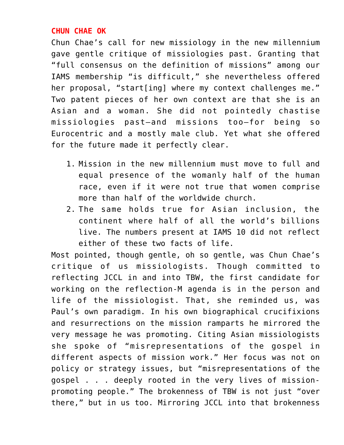# **CHUN CHAE OK**

Chun Chae's call for new missiology in the new millennium gave gentle critique of missiologies past. Granting that "full consensus on the definition of missions" among our IAMS membership "is difficult," she nevertheless offered her proposal, "start[ing] where my context challenges me." Two patent pieces of her own context are that she is an Asian and a woman. She did not pointedly chastise missiologies past–and missions too–for being so Eurocentric and a mostly male club. Yet what she offered for the future made it perfectly clear.

- 1. Mission in the new millennium must move to full and equal presence of the womanly half of the human race, even if it were not true that women comprise more than half of the worldwide church.
- 2. The same holds true for Asian inclusion, the continent where half of all the world's billions live. The numbers present at IAMS 10 did not reflect either of these two facts of life.

Most pointed, though gentle, oh so gentle, was Chun Chae's critique of us missiologists. Though committed to reflecting JCCL in and into TBW, the first candidate for working on the reflection-M agenda is in the person and life of the missiologist. That, she reminded us, was Paul's own paradigm. In his own biographical crucifixions and resurrections on the mission ramparts he mirrored the very message he was promoting. Citing Asian missiologists she spoke of "misrepresentations of the gospel in different aspects of mission work." Her focus was not on policy or strategy issues, but "misrepresentations of the gospel . . . deeply rooted in the very lives of missionpromoting people." The brokenness of TBW is not just "over there," but in us too. Mirroring JCCL into that brokenness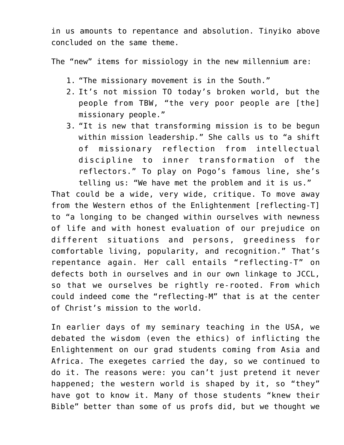in us amounts to repentance and absolution. Tinyiko above concluded on the same theme.

The "new" items for missiology in the new millennium are:

- 1. "The missionary movement is in the South."
- 2. It's not mission TO today's broken world, but the people from TBW, "the very poor people are [the] missionary people."
- 3. "It is new that transforming mission is to be begun within mission leadership." She calls us to "a shift of missionary reflection from intellectual discipline to inner transformation of the reflectors." To play on Pogo's famous line, she's telling us: "We have met the problem and it is us."

That could be a wide, very wide, critique. To move away from the Western ethos of the Enlightenment [reflecting-T] to "a longing to be changed within ourselves with newness of life and with honest evaluation of our prejudice on different situations and persons, greediness for comfortable living, popularity, and recognition." That's repentance again. Her call entails "reflecting-T" on defects both in ourselves and in our own linkage to JCCL, so that we ourselves be rightly re-rooted. From which could indeed come the "reflecting-M" that is at the center of Christ's mission to the world.

In earlier days of my seminary teaching in the USA, we debated the wisdom (even the ethics) of inflicting the Enlightenment on our grad students coming from Asia and Africa. The exegetes carried the day, so we continued to do it. The reasons were: you can't just pretend it never happened; the western world is shaped by it, so "they" have got to know it. Many of those students "knew their Bible" better than some of us profs did, but we thought we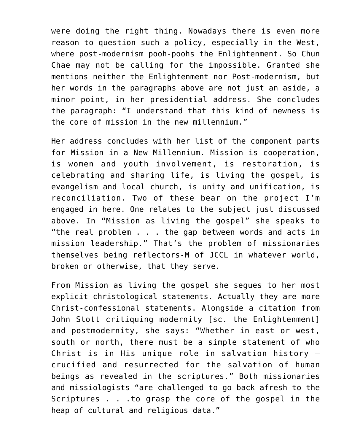were doing the right thing. Nowadays there is even more reason to question such a policy, especially in the West, where post-modernism pooh-poohs the Enlightenment. So Chun Chae may not be calling for the impossible. Granted she mentions neither the Enlightenment nor Post-modernism, but her words in the paragraphs above are not just an aside, a minor point, in her presidential address. She concludes the paragraph: "I understand that this kind of newness is the core of mission in the new millennium."

Her address concludes with her list of the component parts for Mission in a New Millennium. Mission is cooperation, is women and youth involvement, is restoration, is celebrating and sharing life, is living the gospel, is evangelism and local church, is unity and unification, is reconciliation. Two of these bear on the project I'm engaged in here. One relates to the subject just discussed above. In "Mission as living the gospel" she speaks to "the real problem . . . the gap between words and acts in mission leadership." That's the problem of missionaries themselves being reflectors-M of JCCL in whatever world, broken or otherwise, that they serve.

From Mission as living the gospel she segues to her most explicit christological statements. Actually they are more Christ-confessional statements. Alongside a citation from John Stott critiquing modernity [sc. the Enlightenment] and postmodernity, she says: "Whether in east or west, south or north, there must be a simple statement of who Christ is in His unique role in salvation history – crucified and resurrected for the salvation of human beings as revealed in the scriptures." Both missionaries and missiologists "are challenged to go back afresh to the Scriptures . . .to grasp the core of the gospel in the heap of cultural and religious data."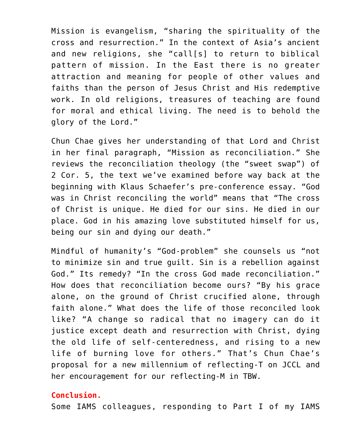Mission is evangelism, "sharing the spirituality of the cross and resurrection." In the context of Asia's ancient and new religions, she "call[s] to return to biblical pattern of mission. In the East there is no greater attraction and meaning for people of other values and faiths than the person of Jesus Christ and His redemptive work. In old religions, treasures of teaching are found for moral and ethical living. The need is to behold the glory of the Lord."

Chun Chae gives her understanding of that Lord and Christ in her final paragraph, "Mission as reconciliation." She reviews the reconciliation theology (the "sweet swap") of 2 Cor. 5, the text we've examined before way back at the beginning with Klaus Schaefer's pre-conference essay. "God was in Christ reconciling the world" means that "The cross of Christ is unique. He died for our sins. He died in our place. God in his amazing love substituted himself for us, being our sin and dying our death."

Mindful of humanity's "God-problem" she counsels us "not to minimize sin and true guilt. Sin is a rebellion against God." Its remedy? "In the cross God made reconciliation." How does that reconciliation become ours? "By his grace alone, on the ground of Christ crucified alone, through faith alone." What does the life of those reconciled look like? "A change so radical that no imagery can do it justice except death and resurrection with Christ, dying the old life of self-centeredness, and rising to a new life of burning love for others." That's Chun Chae's proposal for a new millennium of reflecting-T on JCCL and her encouragement for our reflecting-M in TBW.

# **Conclusion.**

Some IAMS colleagues, responding to Part I of my IAMS